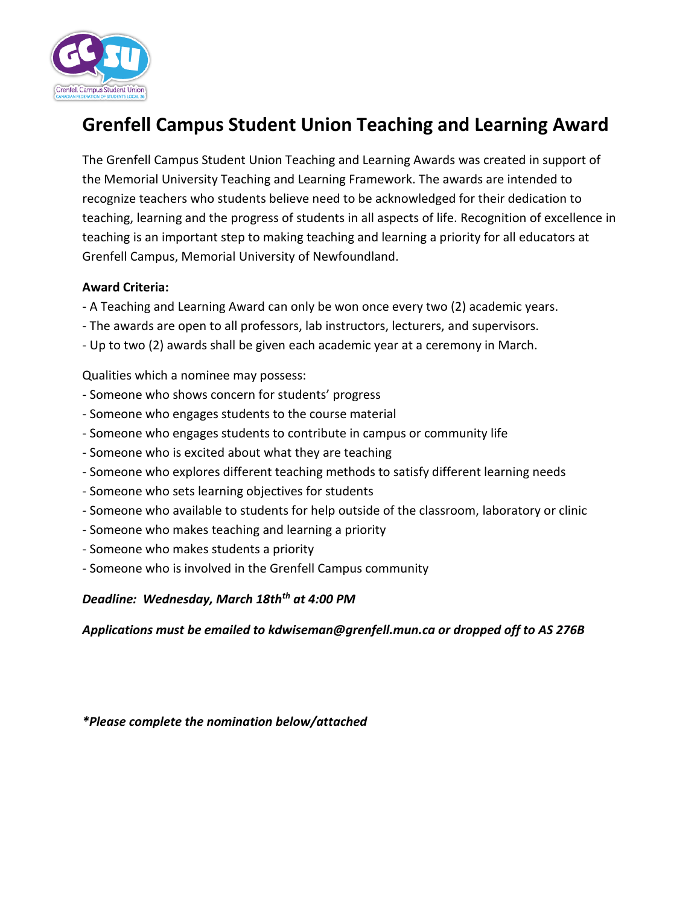

## **Grenfell Campus Student Union Teaching and Learning Award**

The Grenfell Campus Student Union Teaching and Learning Awards was created in support of the Memorial University Teaching and Learning Framework. The awards are intended to recognize teachers who students believe need to be acknowledged for their dedication to teaching, learning and the progress of students in all aspects of life. Recognition of excellence in teaching is an important step to making teaching and learning a priority for all educators at Grenfell Campus, Memorial University of Newfoundland.

## **Award Criteria:**

- A Teaching and Learning Award can only be won once every two (2) academic years.
- The awards are open to all professors, lab instructors, lecturers, and supervisors.
- Up to two (2) awards shall be given each academic year at a ceremony in March.

Qualities which a nominee may possess:

- Someone who shows concern for students' progress
- Someone who engages students to the course material
- Someone who engages students to contribute in campus or community life
- Someone who is excited about what they are teaching
- Someone who explores different teaching methods to satisfy different learning needs
- Someone who sets learning objectives for students
- Someone who available to students for help outside of the classroom, laboratory or clinic
- Someone who makes teaching and learning a priority
- Someone who makes students a priority
- Someone who is involved in the Grenfell Campus community

*Deadline: Wednesday, March 18thth at 4:00 PM*

*Applications must be emailed to kdwiseman@grenfell.mun.ca or dropped off to AS 276B*

*\*Please complete the nomination below/attached*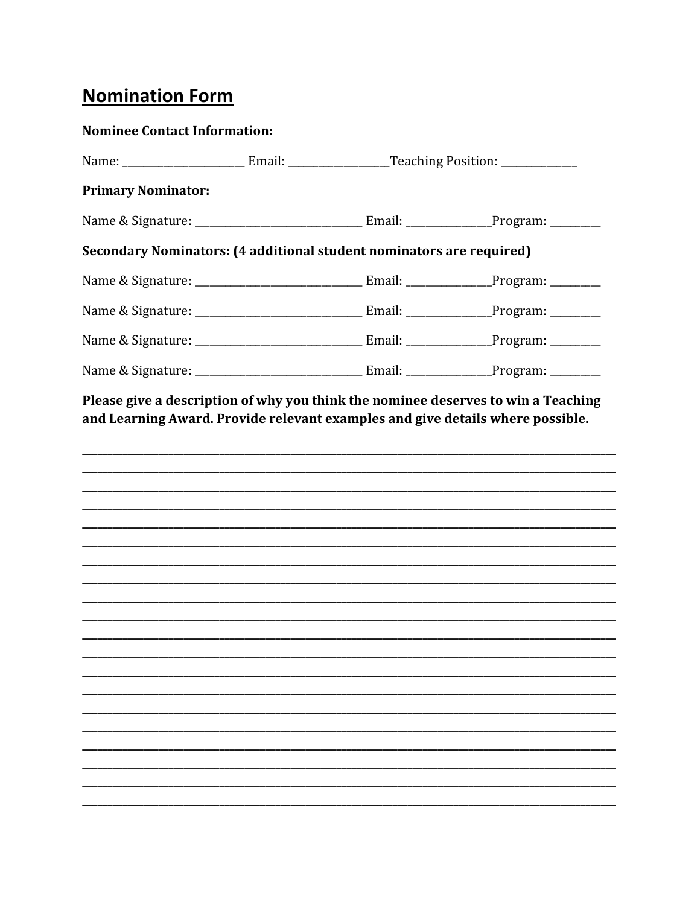## **Nomination Form**

| <b>Nominee Contact Information:</b>                                  |  |  |
|----------------------------------------------------------------------|--|--|
|                                                                      |  |  |
| <b>Primary Nominator:</b>                                            |  |  |
|                                                                      |  |  |
| Secondary Nominators: (4 additional student nominators are required) |  |  |
|                                                                      |  |  |
|                                                                      |  |  |
|                                                                      |  |  |
|                                                                      |  |  |
|                                                                      |  |  |
|                                                                      |  |  |
|                                                                      |  |  |
|                                                                      |  |  |
|                                                                      |  |  |